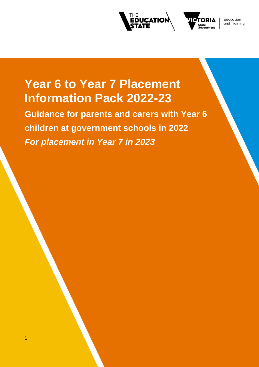



Education and Training

# **Year 6 to Year 7 Placement Information Pack 2022-23**

**Guidance for parents and carers with Year 6 children at government schools in 2022**  *For placement in Year 7 in 2023*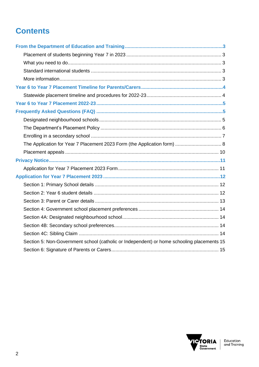## **Contents**

| Section 5: Non-Government school (catholic or Independent) or home schooling placements 15 |  |
|--------------------------------------------------------------------------------------------|--|

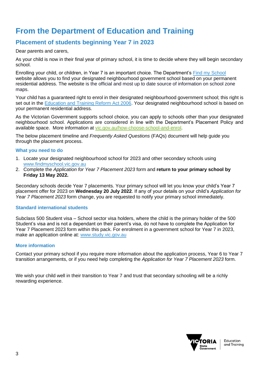## **From the Department of Education and Training**

## **Placement of students beginning Year 7 in 2023**

Dear parents and carers,

As your child is now in their final year of primary school, it is time to decide where they will begin secondary school.

Enrolling your child, or children, in Year 7 is an important choice. The Department's Find my [School](https://www.findmyschool.vic.gov.au/) website allows you to find your designated neighbourhood government school based on your permanent residential address. The website is the official and most up to date source of information on school zone maps.

Your child has a guaranteed right to enrol in their designated neighbourhood government school; this right is set out in the [Education and Training Reform Act 2006.](https://www.education.vic.gov.au/about/department/legislation/Pages/act2006.aspx) Your designated neighbourhood school is based on your permanent residential address.

As the Victorian Government supports school choice, you can apply to schools other than your designated neighbourhood school. Applications are considered in line with the Department's Placement Policy and available space. More information at [vic.gov.au/how-choose-school-and-enrol.](https://www.vic.gov.au/how-choose-school-and-enrol)

The below placement timeline and *Frequently Asked Questions* (FAQs) document will help guide you through the placement process.

#### **What you need to do**

- 1. Locate your designated neighbourhood school for 2023 and other secondary schools using [www.findmyschool.vic.gov.au](http://www.findmyschool.vic.gov.au/)
- 2. Complete the *Application for Year 7 Placement 2023* form and **return to your primary school by Friday 13 May 2022.**

Secondary schools decide Year 7 placements. Your primary school will let you know your child's Year 7 placement offer for 2023 on **Wednesday 20 July 2022**. If any of your details on your child's *Application for Year 7 Placement 2023* form change, you are requested to notify your primary school immediately.

#### **Standard international students**

Subclass 500 Student visa – School sector visa holders, where the child is the primary holder of the 500 Student's visa and is not a dependant on their parent's visa, do not have to complete the Application for Year 7 Placement 2023 form within this pack. For enrolment in a government school for Year 7 in 2023, make an application online at: www.study.vic.gov.au

#### **More information**

Contact your primary school if you require more information about the application process, Year 6 to Year 7 transition arrangements, or if you need help completing the *Application for Year 7 Placement 2023* form.

We wish your child well in their transition to Year 7 and trust that secondary schooling will be a richly rewarding experience.

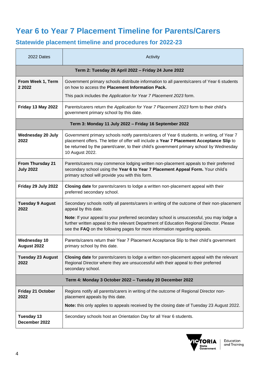## **Year 6 to Year 7 Placement Timeline for Parents/Carers**

## **Statewide placement timeline and procedures for 2022-23**

| 2022 Dates                                               | Activity                                                                                                                                                                                                                                                                                              |  |  |  |
|----------------------------------------------------------|-------------------------------------------------------------------------------------------------------------------------------------------------------------------------------------------------------------------------------------------------------------------------------------------------------|--|--|--|
| Term 2: Tuesday 26 April 2022 - Friday 24 June 2022      |                                                                                                                                                                                                                                                                                                       |  |  |  |
| From Week 1, Term<br>2 2 0 2 2                           | Government primary schools distribute information to all parents/carers of Year 6 students<br>on how to access the Placement Information Pack.                                                                                                                                                        |  |  |  |
|                                                          | This pack includes the Application for Year 7 Placement 2023 form.                                                                                                                                                                                                                                    |  |  |  |
| Friday 13 May 2022                                       | Parents/carers return the Application for Year 7 Placement 2023 form to their child's<br>government primary school by this date.                                                                                                                                                                      |  |  |  |
|                                                          | Term 3: Monday 11 July 2022 - Friday 16 September 2022                                                                                                                                                                                                                                                |  |  |  |
| <b>Wednesday 20 July</b><br>2022                         | Government primary schools notify parents/carers of Year 6 students, in writing, of Year 7<br>placement offers. The letter of offer will include a Year 7 Placement Acceptance Slip to<br>be returned by the parent/carer, to their child's government primary school by Wednesday<br>10 August 2022. |  |  |  |
| From Thursday 21<br><b>July 2022</b>                     | Parents/carers may commence lodging written non-placement appeals to their preferred<br>secondary school using the Year 6 to Year 7 Placement Appeal Form. Your child's<br>primary school will provide you with this form.                                                                            |  |  |  |
| Friday 29 July 2022                                      | Closing date for parents/carers to lodge a written non-placement appeal with their<br>preferred secondary school.                                                                                                                                                                                     |  |  |  |
| <b>Tuesday 9 August</b><br>2022                          | Secondary schools notify all parents/carers in writing of the outcome of their non-placement<br>appeal by this date.                                                                                                                                                                                  |  |  |  |
|                                                          | Note: If your appeal to your preferred secondary school is unsuccessful, you may lodge a<br>further written appeal to the relevant Department of Education Regional Director. Please<br>see the FAQ on the following pages for more information regarding appeals.                                    |  |  |  |
| <b>Wednesday 10</b><br>August 2022                       | Parents/carers return their Year 7 Placement Acceptance Slip to their child's government<br>primary school by this date.                                                                                                                                                                              |  |  |  |
| <b>Tuesday 23 August</b><br>2022                         | Closing date for parents/carers to lodge a written non-placement appeal with the relevant<br>Regional Director where they are unsuccessful with their appeal to their preferred<br>secondary school.                                                                                                  |  |  |  |
| Term 4: Monday 3 October 2022 - Tuesday 20 December 2022 |                                                                                                                                                                                                                                                                                                       |  |  |  |
| <b>Friday 21 October</b><br>2022                         | Regions notify all parents/carers in writing of the outcome of Regional Director non-<br>placement appeals by this date.                                                                                                                                                                              |  |  |  |
|                                                          | Note: this only applies to appeals received by the closing date of Tuesday 23 August 2022.                                                                                                                                                                                                            |  |  |  |
| <b>Tuesday 13</b><br>December 2022                       | Secondary schools host an Orientation Day for all Year 6 students.                                                                                                                                                                                                                                    |  |  |  |

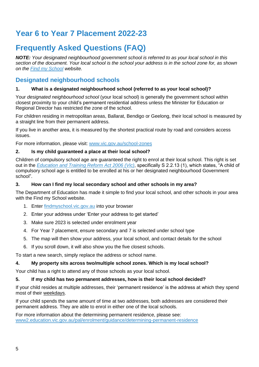## **Year 6 to Year 7 Placement 2022-23**

## **Frequently Asked Questions (FAQ)**

*NOTE: Your designated neighbourhood government school is referred to as your local school in this section of the document. Your local school is the school your address is in the school zone for, as shown on the [Find my School](http://www.findmyschool.vic.gov.au/) website.* 

## **Designated neighbourhood schools**

#### **1. What is a designated neighbourhood school (referred to as your local school)?**

Your *designated neighbourhood school* (your local school) is generally the government school within closest proximity to your child's permanent residential address unless the Minister for Education or Regional Director has restricted the zone of the school.

For children residing in metropolitan areas, Ballarat, Bendigo or Geelong, their local school is measured by a straight line from their permanent address.

If you live in another area, it is measured by the shortest practical route by road and considers access issues.

For more information, please visit: [www.vic.gov.au/school-zones](https://www.vic.gov.au/school-zones)

#### **2. Is my child guaranteed a place at their local school?**

Children of compulsory school age are guaranteed the right to enrol at their local school. This right is set out in the *[Education and Training Reform Act 2006](http://www.legislation.vic.gov.au/Domino/Web_Notes/LDMS/PubStatbook.nsf/f932b66241ecf1b7ca256e92000e23be/575C47EA02890DA4CA25717000217213/$FILE/06-024a.pdf) (Vic)*, specifically S 2.2.13 (1), which states, "A child of compulsory school age is entitled to be enrolled at his or her designated neighbourhood Government school".

#### **3. How can I find my local secondary school and other schools in my area?**

The Department of Education has made it simple to find your local school, and other schools in your area with the Find my School website.

- 1. Enter [findmyschool.vic.gov.au](http://www.findmyschool.vic.gov.au/) into your browser
- 2. Enter your address under 'Enter your address to get started'
- 3. Make sure 2023 is selected under enrolment year
- 4. For Year 7 placement, ensure secondary and 7 is selected under school type
- 5. The map will then show your address, your local school, and contact details for the school
- 6. If you scroll down, it will also show you the five closest schools.

To start a new search, simply replace the address or school name.

#### **4. My property sits across two/multiple school zones. Which is my local school?**

Your child has a right to attend any of those schools as your local school.

#### **5. If my child has two permanent addresses, how is their local school decided?**

If your child resides at multiple addresses, their 'permanent residence' is the address at which they spend most of their weekdays.

If your child spends the same amount of time at two addresses, both addresses are considered their permanent address. They are able to enrol in either one of the local schools.

For more information about the determining permanent residence, please see: [www2.education.vic.gov.au/pal/enrolment/guidance/determining-permanent-residence](https://www2.education.vic.gov.au/pal/enrolment/guidance/determining-permanent-residence)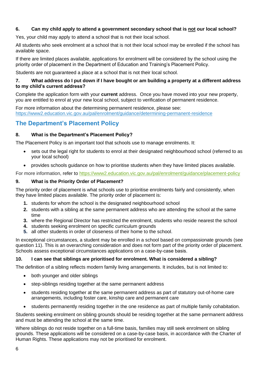#### **6. Can my child apply to attend a government secondary school that is not our local school?**

Yes, your child may apply to attend a school that is not their local school.

All students who seek enrolment at a school that is not their local school may be enrolled if the school has available space.

If there are limited places available, applications for enrolment will be considered by the school using the priority order of placement in the Department of Education and Training's Placement Policy.

Students are not guaranteed a place at a school that is not their local school.

#### **7. What address do I put down if I have bought or am building a property at a different address to my child's current address?**

Complete the application form with your **current** address. Once you have moved into your new property, you are entitled to enrol at your new local school, subject to verification of permanent residence.

For more information about the determining permanent residence, please see: <https://www2.education.vic.gov.au/pal/enrolment/guidance/determining-permanent-residence>

### **The Department's Placement Policy**

#### **8. What is the Department's Placement Policy?**

The Placement Policy is an important tool that schools use to manage enrolments. It:

- sets out the legal right for students to enrol at their designated neighbourhood school (referred to as your local school)
- provides schools guidance on how to prioritise students when they have limited places available.

For more information, refer to<https://www2.education.vic.gov.au/pal/enrolment/guidance/placement-policy>

#### **9. What is the Priority Order of Placement?**

The priority order of placement is what schools use to prioritise enrolments fairly and consistently, when they have limited places available. The priority order of placement is:

- **1.** students for whom the school is the designated neighbourhood school
- **2.** students with a sibling at the same permanent address who are attending the school at the same time
- **3.** where the Regional Director has restricted the enrolment, students who reside nearest the school
- **4.** students seeking enrolment on specific curriculum grounds
- **5.** all other students in order of closeness of their home to the school.

In exceptional circumstances, a student may be enrolled in a school based on compassionate grounds (see question 11). This is an overarching consideration and does not form part of the priority order of placement. Schools assess exceptional circumstances applications on a case-by-case basis. 

#### **10. I can see that siblings are prioritised for enrolment. What is considered a sibling?**

The definition of a sibling reflects modern family living arrangements. It includes, but is not limited to:

- both younger and older siblings
- step-siblings residing together at the same permanent address
- students residing together at the same permanent address as part of statutory out-of-home care arrangements, including foster care, kinship care and permanent care
- students permanently residing together in the one residence as part of multiple family cohabitation.

Students seeking enrolment on sibling grounds should be residing together at the same permanent address and must be attending the school at the same time.

Where siblings do not reside together on a full-time basis, families may still seek enrolment on sibling grounds. These applications will be considered on a case-by-case basis, in accordance with the Charter of Human Rights. These applications may not be prioritised for enrolment.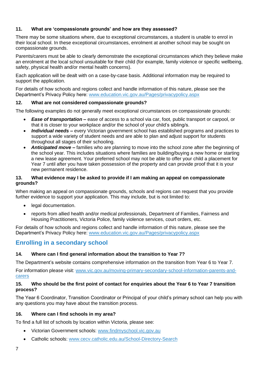#### **11. What are 'compassionate grounds' and how are they assessed?**

There may be some situations where, due to exceptional circumstances, a student is unable to enrol in their local school. In these exceptional circumstances, enrolment at another school may be sought on compassionate grounds.

Parents/carers must be able to clearly demonstrate the exceptional circumstances which they believe make an enrolment at the local school unsuitable for their child (for example, family violence or specific wellbeing, safety, physical health and/or mental health concerns).

Each application will be dealt with on a case-by-case basis. Additional information may be required to support the application.

For details of how schools and regions collect and handle information of this nature, please see the Department's Privacy Policy here: [www.education.vic.gov.au/Pages/privacypolicy.aspx](https://www.education.vic.gov.au/Pages/privacypolicy.aspx)

#### **12. What are not considered compassionate grounds?**

The following examples do not generally meet exceptional circumstances on compassionate grounds:

- *Ease of transportation* **–** ease of access to a school via car, foot, public transport or carpool, or that it is closer to your workplace and/or the school of your child's sibling/s.
- *Individual needs* **–** every Victorian government school has established programs and practices to support a wide variety of student needs and are able to plan and adjust support for students throughout all stages of their schooling.
- *Anticipated move –* families who are planning to move into the school zone after the beginning of the school year. This includes situations where families are building/buying a new home or starting a new lease agreement. Your preferred school may not be able to offer your child a placement for Year 7 until after you have taken possession of the property and can provide proof that it is your new permanent residence.

#### **13. What evidence may I be asked to provide if I am making an appeal on compassionate grounds?**

When making an appeal on compassionate grounds, schools and regions can request that you provide further evidence to support your application. This may include, but is not limited to:

- legal documentation.
- reports from allied health and/or medical professionals, Department of Families, Fairness and Housing Practitioners, Victoria Police, family violence services, court orders, etc.

For details of how schools and regions collect and handle information of this nature, please see the Department's Privacy Policy here: [www.education.vic.gov.au/Pages/privacypolicy.aspx](https://www.education.vic.gov.au/Pages/privacypolicy.aspx)

### **Enrolling in a secondary school**

#### **14. Where can I find general information about the transition to Year 7?**

The Department's website contains comprehensive information on the transition from Year 6 to Year 7.

For information please visit: [www.vic.gov.au/moving-primary-secondary-school-information-parents-and](https://www.vic.gov.au/moving-primary-secondary-school-information-parents-and-carers)[carers](https://www.vic.gov.au/moving-primary-secondary-school-information-parents-and-carers)

#### **15. Who should be the first point of contact for enquiries about the Year 6 to Year 7 transition process?**

The Year 6 Coordinator, Transition Coordinator or Principal of your child's primary school can help you with any questions you may have about the transition process.

#### **16. Where can I find schools in my area?**

To find a full list of schools by location within Victoria, please see:

- Victorian Government schools: [www.findmyschool.vic.gov.au](http://www.findmyschool.vic.gov.au/)
- Catholic schools: [www.cecv.catholic.edu.au/School-Directory-Search](http://www.cecv.catholic.edu.au/School-Directory-Search)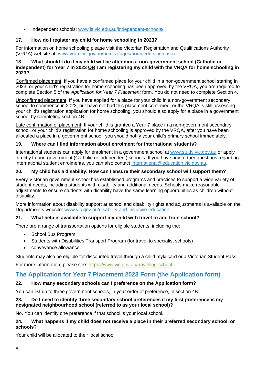• Independent schools: [www.is.vic.edu.au/independent-schools/](https://is.vic.edu.au/independent-schools/)

#### **17. How do I register my child for home schooling in 2023?**

For information on home schooling please visit the Victorian Registration and Qualifications Authority (VRQA) website at: [www.vrqa.vic.gov.au/home/Pages/homeeducation.aspx](https://www.vrqa.vic.gov.au/home/Pages/homeeducation.aspx)

#### **18. What should I do if my child will be attending a non-government school (Catholic or independent) for Year 7 in 2023 OR I am registering my child with the VRQA for home schooling in 2023?**

Confirmed placement: If you have a confirmed place for your child in a non-government school starting in 2023, or your child's registration for home schooling has been approved by the VRQA, you are required to complete Section 5 of the *Application for Year 7 Placement* form. You do not need to complete Section 4.

Unconfirmed placement: If you have applied for a place for your child in a non-government secondary school to commence in 2023, but have not had this placement confirmed, or the VRQA is still assessing your child's registration application for home schooling, you should also apply for a place in a government school by completing section 4B.

Late confirmation of placement: If your child is granted a Year 7 place in a non-government secondary school, or your child's registration for home schooling is approved by the VRQA, after you have been allocated a place in a government school, you should notify your child's primary school immediately.

#### **19. Where can I find information about enrolment for international students?**

International students can apply for enrolment in a government school at [www.study.vic.gov.au](http://www.study.vic.gov.au/) or apply directly to non-government (Catholic or independent) schools. If you have any further questions regarding international student enrolments, you can also contact [international@education.vic.gov.au.](mailto:international@education.vic.gov.au)

#### **20. My child has a disability. How can I ensure their secondary school will support them?**

Every Victorian government school has established programs and practices to support a wide variety of student needs, including students with disability and additional needs. Schools make reasonable adjustments to ensure students with disability have the same learning opportunities as children without disability.

More information about disability support at school and disability rights and adjustments is available on the Department's website: [www.vic.gov.au/disability-and-inclusive-education](https://www.vic.gov.au/disability-and-inclusive-education)

#### **21. What help is available to support my child with travel to and from school?**

There are a range of transportation options for eligible students, including the:

- School Bus Program
- Students with Disabilities Transport Program (for travel to specialist schools)
- conveyance allowance.

Students may also be eligible for discounted travel through a child myki card or a Victorian Student Pass.

For more information, please see: <https://www.vic.gov.au/travelling-school>

### **The Application for Year 7 Placement 2023 Form (the Application form)**

#### **22. How many secondary schools can I preference on the Application form?**

You can list up to three government schools, in your order of preference, in section 4B.

#### **23. Do I need to identify three secondary school preferences if my first preference is my designated neighbourhood school (referred to as your local school)?**

No. You can identify one preference if that school is your local school.

#### **24. What happens if my child does not receive a place in their preferred secondary school, or schools?**

Your child will be allocated to their local school.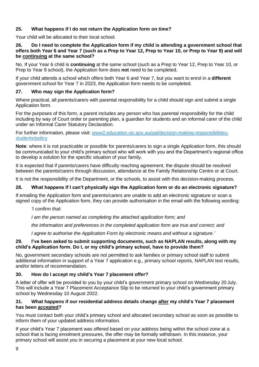#### **25. What happens if I do not return the Application form on time?**

Your child will be allocated to their local school.

#### **26. Do I need to complete the Application form if my child is attending a government school that offers both Year 6 and Year 7 (such as a Prep to Year 12, Prep to Year 10, or Prep to Year 9) and will be continuing at the same school?**

No. If your Year 6 child is **continuing** at the same school (such as a Prep to Year 12, Prep to Year 10, or Prep to Year 9 school), the Application form does **not** need to be completed.

If your child attends a school which offers both Year 6 and Year 7, but you want to enrol in a **different** government school for Year 7 in 2023, the Application form needs to be completed.

#### **27. Who may sign the Application form?**

Where practical, all parents/carers with parental responsibility for a child should sign and submit a single Application form.

For the purposes of this form, a parent includes any person who has parental responsibility for the child including by way of Court order or parenting plan, a guardian for students and an informal carer of the child under an Informal Carer Statutory Declaration.

For further information, please visit: [www2.education.vic.gov.au/pal/decision-making-responsibilities](https://www2.education.vic.gov.au/pal/decision-making-responsibilities-students/policy)[students/policy](https://www2.education.vic.gov.au/pal/decision-making-responsibilities-students/policy)

**Note**: where it is not practicable or possible for parents/carers to sign a single Application form, this should be communicated to your child's primary school who will work with you and the Department's regional office to develop a solution for the specific situation of your family.

It is expected that if parents/carers have difficulty reaching agreement, the dispute should be resolved between the parents/carers through discussion, attendance at the Family Relationship Centre or at Court.

It is not the responsibility of the Department, or the schools, to assist with this decision-making process.

#### **28. What happens if I can't physically sign the Application form or do an electronic signature?**

If emailing the Application form and parents/carers are unable to add an electronic signature or scan a signed copy of the Application form, they can provide authorisation in the email with the following wording:

#### *'I confirm that:*

*I am the person named as completing the attached application form; and*

*the information and preferences in the completed application form are true and correct; and* 

*I agree to authorise the Application Form by electronic means and without a signature.'*

#### **29. I've been asked to submit supporting documents, such as NAPLAN results, along with my child's Application form. Do I, or my child's primary school, have to provide them?**

No, government secondary schools are not permitted to ask families or primary school staff to submit additional information in support of a Year 7 application e.g., primary school reports, NAPLAN test results, and/or letters of recommendation.

#### **30. How do I accept my child's Year 7 placement offer?**

A letter of offer will be provided to you by your child's government primary school on Wednesday 20 July. This will include a Year 7 Placement Acceptance Slip to be returned to your child's government primary school by Wednesday 10 August 2022.

#### **31. What happens if our residential address details change after my child's Year 7 placement has been accepted?**

You must contact both your child's primary school and allocated secondary school as soon as possible to inform them of your updated address information.

If your child's Year 7 placement was offered based on your address being within the school zone at a school that is facing enrolment pressures, the offer may be formally withdrawn. In this instance, your primary school will assist you in securing a placement at your new local school.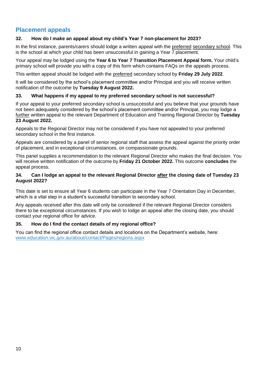### **Placement appeals**

#### **32. How do I make an appeal about my child's Year 7 non-placement for 2023?**

In the first instance, parents/carers should lodge a written appeal with the preferred secondary school. This is the school at which your child has been unsuccessful in gaining a Year 7 placement.

Your appeal may be lodged using the **Year 6 to Year 7 Transition Placement Appeal form.** Your child's primary school will provide you with a copy of this form which contains FAQs on the appeals process.

This written appeal should be lodged with the preferred secondary school by **Friday 29 July 2022**.

It will be considered by the school's placement committee and/or Principal and you will receive written notification of the outcome by **Tuesday 9 August 2022.** 

#### **33. What happens if my appeal to my preferred secondary school is not successful?**

If your appeal to your preferred secondary school is unsuccessful and you believe that your grounds have not been adequately considered by the school's placement committee and/or Principal, you may lodge a further written appeal to the relevant Department of Education and Training Regional Director by **Tuesday 23 August 2022.**

Appeals to the Regional Director may not be considered if you have not appealed to your preferred secondary school in the first instance.

Appeals are considered by a panel of senior regional staff that assess the appeal against the priority order of placement, and in exceptional circumstances, on compassionate grounds.

This panel supplies a recommendation to the relevant Regional Director who makes the final decision. You will receive written notification of the outcome by **Friday 21 October 2022.** This outcome **concludes** the appeal process.

#### **34. Can I lodge an appeal to the relevant Regional Director after the closing date of Tuesday 23 August 2022?**

This date is set to ensure all Year 6 students can participate in the Year 7 Orientation Day in December, which is a vital step in a student's successful transition to secondary school.

Any appeals received after this date will only be considered if the relevant Regional Director considers there to be exceptional circumstances. If you wish to lodge an appeal after the closing date, you should contact your regional office for advice.

#### **35. How do I find the contact details of my regional office?**

You can find the regional office contact details and locations on the Department's website, here: [www.education.vic.gov.au/about/contact/Pages/regions.aspx](https://www.education.vic.gov.au/about/contact/Pages/regions.aspx)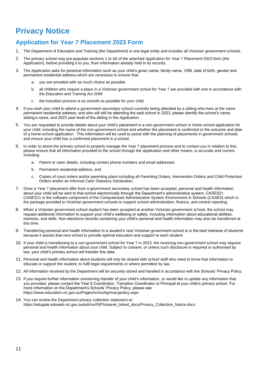## **Privacy Notice**

## **Application for Year 7 Placement 2023 Form**

- 1. The Department of Education and Training (the Department) is one legal entity and includes all Victorian government schools.
- 2. The primary school may pre-populate sections 1 to 4A of the attached *Application for Year 7 Placement* 2023 form (*the Application*), before providing it to you, from information already held in its records.
- 3. The *Application* asks for personal information such as your child's given name, family name, VSN, date of birth, gender and permanent residential address which are necessary to ensure that:
	- a. you are provided with as much choice as possible
	- b. all children who require a place in a Victorian government school for Year 7 are provided with one in accordance with the *Education and Training Act 2006*
	- c. the transition process is as smooth as possible for your child.
- 4. If you wish your child to attend a government secondary school currently being attended by a sibling who lives at the same permanent residential address, and who will still be attending the said school in 2023, please identify the school's name, sibling's name, and 2023 year level of the sibling in the *Application*.
- 5. You are requested to provide details about your child's placement in a non-government school or home-school application for your child, including the name of the non-government school and whether the placement is confirmed or the outcome and date of a home-school application. This information will be used to assist with the planning of placements in government schools and ensure your child has a confirmed placement in a school.
- 6. In order to assist the primary school to properly manage the Year 7 placement process and to contact you in relation to this, please ensure that all information provided to the school through the *Application* and other means, is accurate and current, including:
	- a. Parent or carer details, including contact phone numbers and email addresses
	- b. Permanent residential address, and
	- c. Copies of court orders and/or parenting plans including all Parenting Orders, Intervention Orders and Child Protection Orders and/or an Informal Carer Statutory Declaration.
- 7. Once a Year 7 placement offer from a government secondary school has been accepted, personal and health information about your child will be sent to that school electronically through the Department's administrative system, CASES21. CASES21 is the software component of the Computerised Administrative System Environment in Schools (CASES) which is the package provided to Victorian government schools to support school administration, finance, and central reporting.
- 8. When a Victorian government school student has been accepted at another Victorian government school, the school may request additional information to support your child's wellbeing or safety, including information about educational abilities, interests, and skills. Non-electronic records containing your child's personal and health information may also be transferred at this time.
- 9. Transferring personal and health information to a student's next Victorian government school is in the best interests of students because it assists that next school to provide optimal education and support to each student.
- 10. If your child is transitioning to a non-government school for Year 7 in 2023, the receiving non-government school may request personal and health information about your child. Subject to consent, or unless such disclosure is required or authorised by law, your child's primary school will transfer this data.
- 11. Personal and health information about students will only be shared with school staff who need to know that information to educate or support the student, to fulfil legal requirements or where permitted by law.
- 12. All information received by the Department will be securely stored and handled in accordance with th[e Schools' Privacy Policy.](https://www.education.vic.gov.au/Pages/schoolsprivacypolicy.aspx)
- 13. If you require further information concerning transfer of your child's information, or would like to update any information that you provided, please contact the Year 6 Coordinator, Transition Coordinator or Principal at your child's primary school. For more information on the Department's Schools' Privacy Policy, please see: <https://www.education.vic.gov.au/Pages/schoolsprivacypolicy.aspx>
- 14. You can review the Department privacy collection statement at: [https://edugate.eduweb.vic.gov.au/edrms/ISP/Intranet\\_linked\\_docs/Privacy\\_Collection\\_Notice.docx](https://edugate.eduweb.vic.gov.au/edrms/ISP/Intranet_linked_docs/Privacy_Collection_Notice.docx)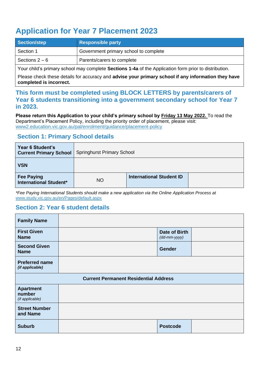## **Application for Year 7 Placement 2023**

| <b>Section/step</b> | <b>Responsible party</b>              |
|---------------------|---------------------------------------|
| Section 1           | Government primary school to complete |
| Sections $2-6$      | Parents/carers to complete            |

Your child's primary school may complete **Sections 1-4a** of the Application form prior to distribution.

Please check these details for accuracy and **advise your primary school if any information they have completed is incorrect.**

**This form must be completed using BLOCK LETTERS by parents/carers of Year 6 students transitioning into a government secondary school for Year 7 in 2023.** 

**Please return this Application to your child's primary school by Friday 13 May 2022.** To read the Department's Placement Policy, including the priority order of placement, please visit: [www2.education.vic.gov.au/pal/enrolment/guidance/placement-policy](https://www2.education.vic.gov.au/pal/enrolment/guidance/placement-policy)

### **Section 1: Primary School details**

| Year 6 Student's<br><b>Current Primary School</b>  | <b>Springhurst Primary School</b> |                                 |  |
|----------------------------------------------------|-----------------------------------|---------------------------------|--|
| <b>VSN</b>                                         |                                   |                                 |  |
| <b>Fee Paying</b><br><b>International Student*</b> | <b>NO</b>                         | <b>International Student ID</b> |  |

*\*Fee Paying International Students should make a new application via the Online Application Process at*  [www.study.vic.gov.au/en/Pages/default.aspx](https://study.vic.gov.au/en/Pages/default.aspx)

### **Section 2: Year 6 student details**

| <b>Family Name</b>                            |                                              |                                               |  |
|-----------------------------------------------|----------------------------------------------|-----------------------------------------------|--|
| <b>First Given</b><br><b>Name</b>             |                                              | Date of Birth<br>$(dd\text{-}mm\text{-}yyyy)$ |  |
| <b>Second Given</b><br><b>Name</b>            |                                              | <b>Gender</b>                                 |  |
| <b>Preferred name</b><br>(if applicable)      |                                              |                                               |  |
|                                               | <b>Current Permanent Residential Address</b> |                                               |  |
| <b>Apartment</b><br>number<br>(if applicable) |                                              |                                               |  |
| <b>Street Number</b><br>and Name              |                                              |                                               |  |
| <b>Suburb</b>                                 |                                              | <b>Postcode</b>                               |  |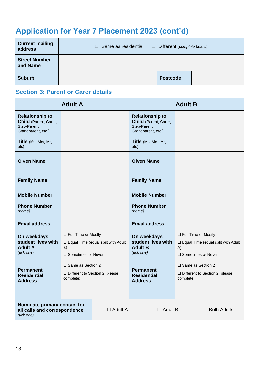## **Application for Year 7 Placement 2023 (cont'd)**

| <b>Current mailing</b><br>address | $\Box$ Same as residential | $\Box$ Different (complete below) |  |
|-----------------------------------|----------------------------|-----------------------------------|--|
| <b>Street Number</b><br>and Name  |                            |                                   |  |
| <b>Suburb</b>                     |                            | <b>Postcode</b>                   |  |

## **Section 3: Parent or Carer details**

| <b>Adult A</b>                                                                        |                                                                                | <b>Adult B</b>                            |                                                                                       |                                                                                                       |
|---------------------------------------------------------------------------------------|--------------------------------------------------------------------------------|-------------------------------------------|---------------------------------------------------------------------------------------|-------------------------------------------------------------------------------------------------------|
| <b>Relationship to</b><br>Child (Parent, Carer,<br>Step-Parent,<br>Grandparent, etc.) |                                                                                |                                           | <b>Relationship to</b><br>Child (Parent, Carer,<br>Step-Parent,<br>Grandparent, etc.) |                                                                                                       |
| Title (Ms, Mrs, Mr,<br>etc)                                                           |                                                                                |                                           | Title (Ms, Mrs, Mr,<br>etc)                                                           |                                                                                                       |
| <b>Given Name</b>                                                                     |                                                                                |                                           | <b>Given Name</b>                                                                     |                                                                                                       |
| <b>Family Name</b>                                                                    |                                                                                |                                           | <b>Family Name</b>                                                                    |                                                                                                       |
| <b>Mobile Number</b>                                                                  |                                                                                |                                           | <b>Mobile Number</b>                                                                  |                                                                                                       |
| <b>Phone Number</b><br>(home)                                                         |                                                                                |                                           | <b>Phone Number</b><br>(home)                                                         |                                                                                                       |
| <b>Email address</b>                                                                  |                                                                                |                                           | <b>Email address</b>                                                                  |                                                                                                       |
| On weekdays,<br>student lives with<br><b>Adult A</b><br>(tick one)                    | □ Full Time or Mostly<br>B)<br>$\Box$ Sometimes or Never                       | $\Box$ Equal Time (equal spilt with Adult | On weekdays,<br>student lives with<br><b>Adult B</b><br>(tick one)                    | □ Full Time or Mostly<br>$\Box$ Equal Time (equal split with Adult<br>A)<br>$\Box$ Sometimes or Never |
| <b>Permanent</b><br><b>Residential</b><br><b>Address</b>                              | $\Box$ Same as Section 2<br>$\Box$ Different to Section 2, please<br>complete: |                                           | <b>Permanent</b><br><b>Residential</b><br><b>Address</b>                              | $\Box$ Same as Section 2<br>$\Box$ Different to Section 2, please<br>complete:                        |
| Nominate primary contact for<br>all calls and correspondence<br>(tick one)            |                                                                                | $\Box$ Adult A                            | $\Box$ Adult B                                                                        | $\Box$ Both Adults                                                                                    |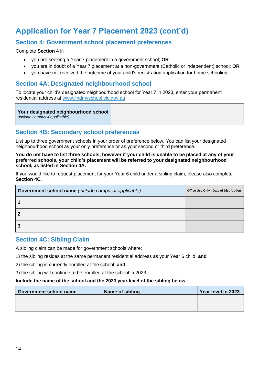## **Application for Year 7 Placement 2023 (cont'd)**

### **Section 4: Government school placement preferences**

Complete **Section 4** if:

- you are seeking a Year 7 placement in a government school; **OR**
- you are in doubt of a Year 7 placement at a non-government (Catholic or independent) school; **OR**
- you have not received the outcome of your child's registration application for home schooling.

### **Section 4A: Designated neighbourhood school**

To locate your child's designated neighbourhood school for Year 7 in 2023, enter your permanent residential address at [www.findmyschool.vic.gov.au](http://www.findmyschool.vic.gov.au/)

#### **Your designated neighbourhood school**

*(include campus if applicable)*

### **Section 4B: Secondary school preferences**

List up to three government schools in your order of preference below. You can list your designated neighbourhood school as your only preference or as your second or third preference.

**You do not have to list three schools, however if your child is unable to be placed at any of your preferred schools, your child's placement will be referred to your designated neighbourhood school, as listed in Section 4A.** 

If you would like to request placement for your Year 6 child under a sibling claim, please also complete **Section 4C.**

| Government school name (include campus if applicable) |  | Office Use Only - Date of Distribution |
|-------------------------------------------------------|--|----------------------------------------|
|                                                       |  |                                        |
| 2                                                     |  |                                        |
| 3                                                     |  |                                        |

#### **Section 4C: Sibling Claim**

A sibling claim can be made for government schools where:

1) the sibling resides at the same permanent residential address as your Year 6 child; **and**

2) the sibling is currently enrolled at the school; **and**

3) the sibling will continue to be enrolled at the school in 2023.

#### **Include the name of the school and the 2023 year level of the sibling below.**

| <b>Government school name</b> | Name of sibling | Year level in 2023 |
|-------------------------------|-----------------|--------------------|
|                               |                 |                    |
|                               |                 |                    |